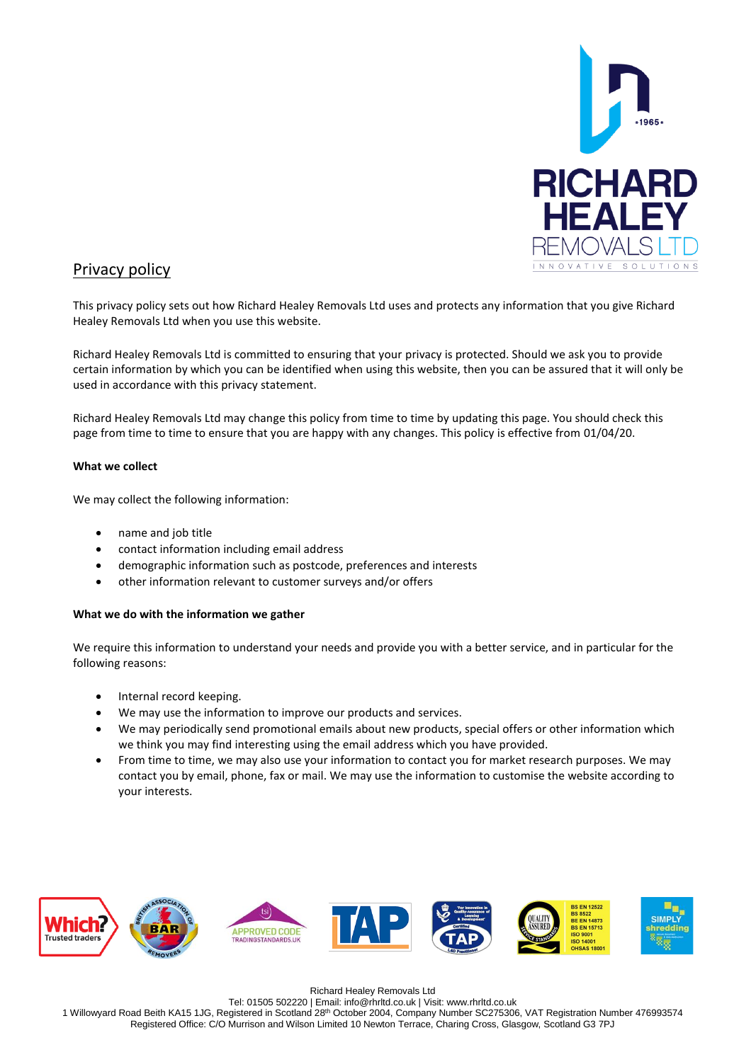

# Privacy policy

This privacy policy sets out how Richard Healey Removals Ltd uses and protects any information that you give Richard Healey Removals Ltd when you use this website.

Richard Healey Removals Ltd is committed to ensuring that your privacy is protected. Should we ask you to provide certain information by which you can be identified when using this website, then you can be assured that it will only be used in accordance with this privacy statement.

Richard Healey Removals Ltd may change this policy from time to time by updating this page. You should check this page from time to time to ensure that you are happy with any changes. This policy is effective from 01/04/20.

## **What we collect**

We may collect the following information:

- name and job title
- contact information including email address
- demographic information such as postcode, preferences and interests
- other information relevant to customer surveys and/or offers

## **What we do with the information we gather**

We require this information to understand your needs and provide you with a better service, and in particular for the following reasons:

- Internal record keeping.
- We may use the information to improve our products and services.
- We may periodically send promotional emails about new products, special offers or other information which we think you may find interesting using the email address which you have provided.
- From time to time, we may also use your information to contact you for market research purposes. We may contact you by email, phone, fax or mail. We may use the information to customise the website according to your interests.



Richard Healey Removals Ltd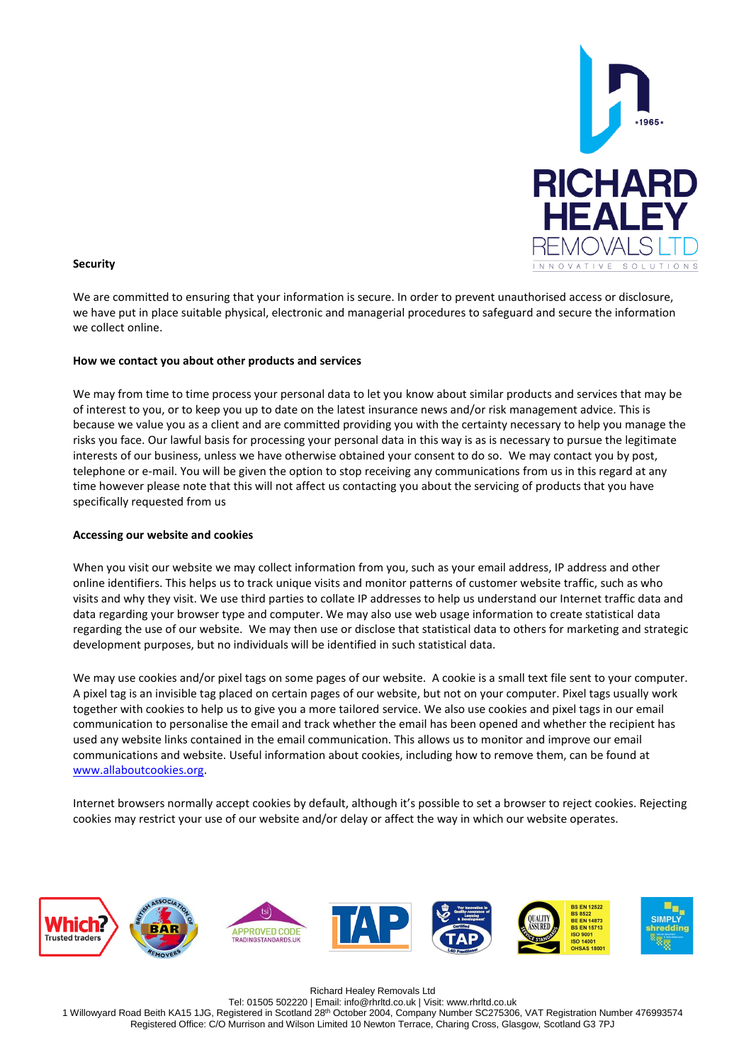

#### **Security**

We are committed to ensuring that your information is secure. In order to prevent unauthorised access or disclosure, we have put in place suitable physical, electronic and managerial procedures to safeguard and secure the information we collect online.

#### **How we contact you about other products and services**

We may from time to time process your personal data to let you know about similar products and services that may be of interest to you, or to keep you up to date on the latest insurance news and/or risk management advice. This is because we value you as a client and are committed providing you with the certainty necessary to help you manage the risks you face. Our lawful basis for processing your personal data in this way is as is necessary to pursue the legitimate interests of our business, unless we have otherwise obtained your consent to do so. We may contact you by post, telephone or e-mail. You will be given the option to stop receiving any communications from us in this regard at any time however please note that this will not affect us contacting you about the servicing of products that you have specifically requested from us

### **Accessing our website and cookies**

When you visit our website we may collect information from you, such as your email address, IP address and other online identifiers. This helps us to track unique visits and monitor patterns of customer website traffic, such as who visits and why they visit. We use third parties to collate IP addresses to help us understand our Internet traffic data and data regarding your browser type and computer. We may also use web usage information to create statistical data regarding the use of our website. We may then use or disclose that statistical data to others for marketing and strategic development purposes, but no individuals will be identified in such statistical data.

We may use cookies and/or pixel tags on some pages of our website. A cookie is a small text file sent to your computer. A pixel tag is an invisible tag placed on certain pages of our website, but not on your computer. Pixel tags usually work together with cookies to help us to give you a more tailored service. We also use cookies and pixel tags in our email communication to personalise the email and track whether the email has been opened and whether the recipient has used any website links contained in the email communication. This allows us to monitor and improve our email communications and website. Useful information about cookies, including how to remove them, can be found at [www.allaboutcookies.org.](http://www.allaboutcookies.org/)

Internet browsers normally accept cookies by default, although it's possible to set a browser to reject cookies. Rejecting cookies may restrict your use of our website and/or delay or affect the way in which our website operates.



Richard Healey Removals Ltd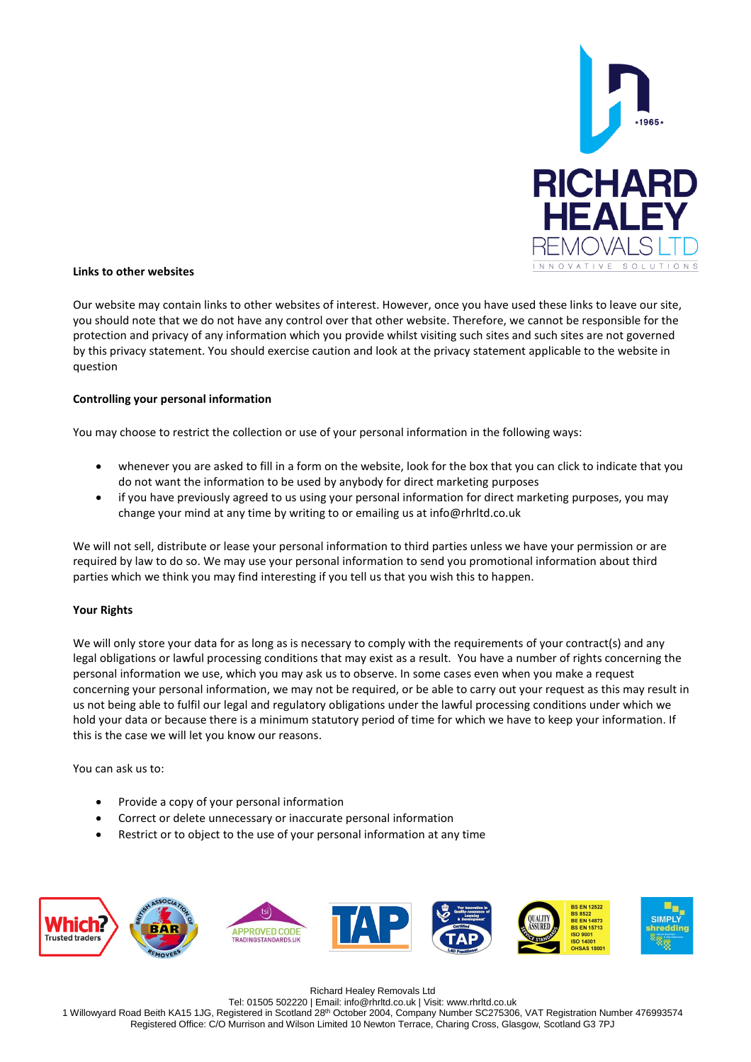

#### **Links to other websites**

Our website may contain links to other websites of interest. However, once you have used these links to leave our site, you should note that we do not have any control over that other website. Therefore, we cannot be responsible for the protection and privacy of any information which you provide whilst visiting such sites and such sites are not governed by this privacy statement. You should exercise caution and look at the privacy statement applicable to the website in question

#### **Controlling your personal information**

You may choose to restrict the collection or use of your personal information in the following ways:

- whenever you are asked to fill in a form on the website, look for the box that you can click to indicate that you do not want the information to be used by anybody for direct marketing purposes
- if you have previously agreed to us using your personal information for direct marketing purposes, you may change your mind at any time by writing to or emailing us at info@rhrltd.co.uk

We will not sell, distribute or lease your personal information to third parties unless we have your permission or are required by law to do so. We may use your personal information to send you promotional information about third parties which we think you may find interesting if you tell us that you wish this to happen.

## **Your Rights**

We will only store your data for as long as is necessary to comply with the requirements of your contract(s) and any legal obligations or lawful processing conditions that may exist as a result. You have a number of rights concerning the personal information we use, which you may ask us to observe. In some cases even when you make a request concerning your personal information, we may not be required, or be able to carry out your request as this may result in us not being able to fulfil our legal and regulatory obligations under the lawful processing conditions under which we hold your data or because there is a minimum statutory period of time for which we have to keep your information. If this is the case we will let you know our reasons.

You can ask us to:

- Provide a copy of your personal information
- Correct or delete unnecessary or inaccurate personal information
- Restrict or to object to the use of your personal information at any time



Richard Healey Removals Ltd